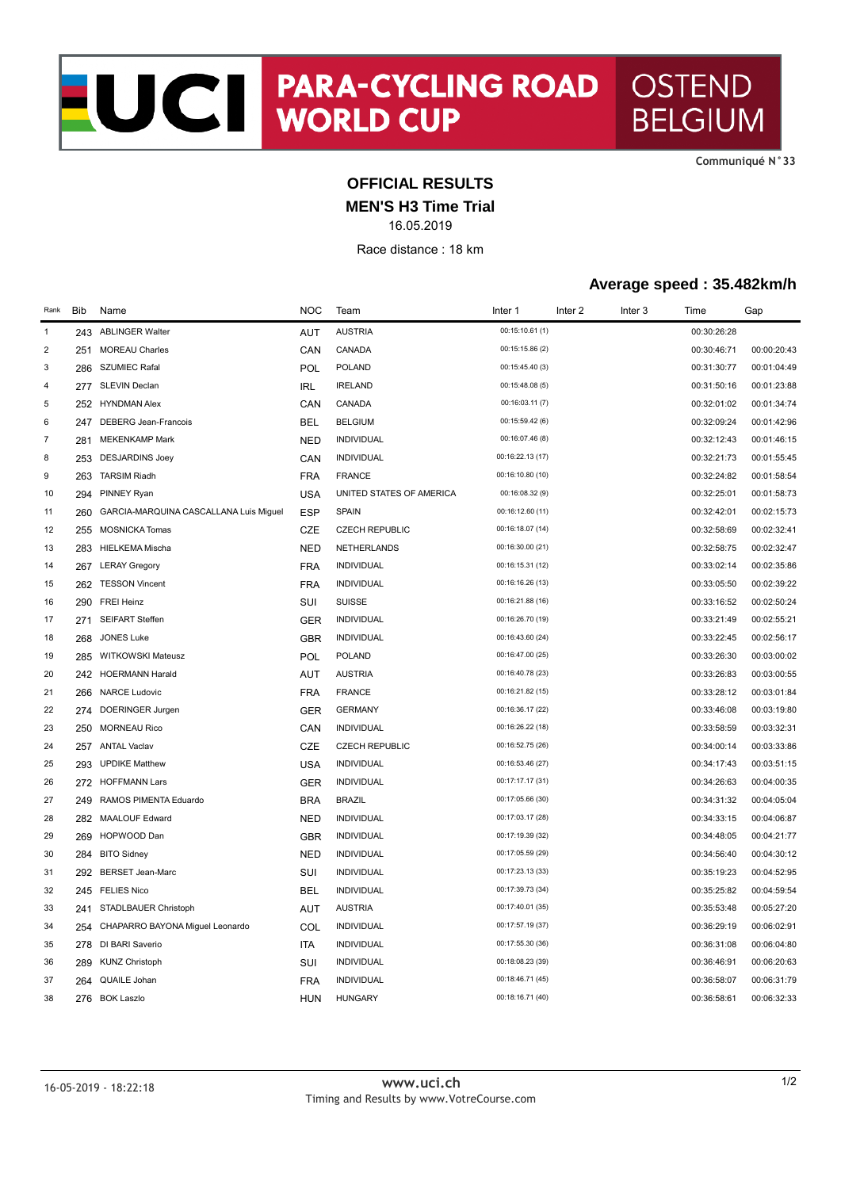NOCI PARA-CYCLING ROAD **OSTEND BELGIUM** 

**CommuniquÈ N°33**

## **OFFICIAL RESULTS**

**MEN'S H3 Time Trial**

16.05.2019

Race distance : 18 km

## **Average speed : 35.482km/h**

| Rank             | <b>Bib</b> | Name                                   | <b>NOC</b> | Team                     | Inter 1          | Inter <sub>2</sub> | Inter <sub>3</sub> | Time        | Gap         |
|------------------|------------|----------------------------------------|------------|--------------------------|------------------|--------------------|--------------------|-------------|-------------|
| $\mathbf{1}$     |            | 243 ABLINGER Walter                    | <b>AUT</b> | <b>AUSTRIA</b>           | 00:15:10.61 (1)  |                    |                    | 00:30:26:28 |             |
| $\boldsymbol{2}$ | 251        | <b>MOREAU Charles</b>                  | CAN        | CANADA                   | 00:15:15.86 (2)  |                    |                    | 00:30:46:71 | 00:00:20:43 |
| 3                |            | 286 SZUMIEC Rafal                      | POL        | <b>POLAND</b>            | 00:15:45.40 (3)  |                    |                    | 00:31:30:77 | 00:01:04:49 |
| 4                |            | 277 SLEVIN Declan                      | <b>IRL</b> | <b>IRELAND</b>           | 00:15:48.08 (5)  |                    |                    | 00:31:50:16 | 00:01:23:88 |
| 5                |            | 252 HYNDMAN Alex                       | CAN        | CANADA                   | 00:16:03.11 (7)  |                    |                    | 00:32:01:02 | 00:01:34:74 |
| 6                | 247        | DEBERG Jean-Francois                   | <b>BEL</b> | <b>BELGIUM</b>           | 00:15:59.42 (6)  |                    |                    | 00:32:09:24 | 00:01:42:96 |
| $\boldsymbol{7}$ | 281        | <b>MEKENKAMP Mark</b>                  | <b>NED</b> | <b>INDIVIDUAL</b>        | 00:16:07.46 (8)  |                    |                    | 00:32:12:43 | 00:01:46:15 |
| 8                | 253        | <b>DESJARDINS Joey</b>                 | CAN        | <b>INDIVIDUAL</b>        | 00:16:22.13 (17) |                    |                    | 00:32:21:73 | 00:01:55:45 |
| 9                | 263        | <b>TARSIM Riadh</b>                    | <b>FRA</b> | <b>FRANCE</b>            | 00:16:10.80 (10) |                    |                    | 00:32:24:82 | 00:01:58:54 |
| 10               | 294        | <b>PINNEY Ryan</b>                     | <b>USA</b> | UNITED STATES OF AMERICA | 00:16:08.32 (9)  |                    |                    | 00:32:25:01 | 00:01:58:73 |
| 11               | 260        | GARCIA-MARQUINA CASCALLANA Luis Miguel | <b>ESP</b> | <b>SPAIN</b>             | 00:16:12.60 (11) |                    |                    | 00:32:42:01 | 00:02:15:73 |
| 12               | 255        | <b>MOSNICKA Tomas</b>                  | <b>CZE</b> | <b>CZECH REPUBLIC</b>    | 00:16:18.07 (14) |                    |                    | 00:32:58:69 | 00:02:32:41 |
| 13               |            | 283 HIELKEMA Mischa                    | <b>NED</b> | NETHERLANDS              | 00:16:30.00 (21) |                    |                    | 00:32:58:75 | 00:02:32:47 |
| 14               |            | 267 LERAY Gregory                      | <b>FRA</b> | <b>INDIVIDUAL</b>        | 00:16:15.31 (12) |                    |                    | 00:33:02:14 | 00:02:35:86 |
| 15               |            | 262 TESSON Vincent                     | <b>FRA</b> | <b>INDIVIDUAL</b>        | 00:16:16.26 (13) |                    |                    | 00:33:05:50 | 00:02:39:22 |
| 16               | 290        | <b>FREI Heinz</b>                      | SUI        | <b>SUISSE</b>            | 00:16:21.88 (16) |                    |                    | 00:33:16:52 | 00:02:50:24 |
| 17               | 271        | <b>SEIFART Steffen</b>                 | <b>GER</b> | <b>INDIVIDUAL</b>        | 00:16:26.70 (19) |                    |                    | 00:33:21:49 | 00:02:55:21 |
| 18               | 268        | <b>JONES Luke</b>                      | <b>GBR</b> | <b>INDIVIDUAL</b>        | 00:16:43.60 (24) |                    |                    | 00:33:22:45 | 00:02:56:17 |
| 19               | 285        | <b>WITKOWSKI Mateusz</b>               | POL        | <b>POLAND</b>            | 00:16:47.00 (25) |                    |                    | 00:33:26:30 | 00:03:00:02 |
| 20               |            | 242 HOERMANN Harald                    | <b>AUT</b> | <b>AUSTRIA</b>           | 00:16:40.78 (23) |                    |                    | 00:33:26:83 | 00:03:00:55 |
| 21               |            | 266 NARCE Ludovic                      | <b>FRA</b> | <b>FRANCE</b>            | 00:16:21.82 (15) |                    |                    | 00:33:28:12 | 00:03:01:84 |
| 22               | 274        | DOERINGER Jurgen                       | <b>GER</b> | <b>GERMANY</b>           | 00:16:36.17 (22) |                    |                    | 00:33:46:08 | 00:03:19:80 |
| 23               |            | 250 MORNEAU Rico                       | CAN        | <b>INDIVIDUAL</b>        | 00:16:26.22 (18) |                    |                    | 00:33:58:59 | 00:03:32:31 |
| 24               |            | 257 ANTAL Vaclav                       | <b>CZE</b> | <b>CZECH REPUBLIC</b>    | 00:16:52.75 (26) |                    |                    | 00:34:00:14 | 00:03:33:86 |
| 25               | 293        | <b>UPDIKE Matthew</b>                  | <b>USA</b> | <b>INDIVIDUAL</b>        | 00:16:53.46 (27) |                    |                    | 00:34:17:43 | 00:03:51:15 |
| 26               |            | 272 HOFFMANN Lars                      | <b>GER</b> | <b>INDIVIDUAL</b>        | 00:17:17.17 (31) |                    |                    | 00:34:26:63 | 00:04:00:35 |
| 27               | 249        | RAMOS PIMENTA Eduardo                  | <b>BRA</b> | <b>BRAZIL</b>            | 00:17:05.66 (30) |                    |                    | 00:34:31:32 | 00:04:05:04 |
| 28               |            | 282 MAALOUF Edward                     | <b>NED</b> | <b>INDIVIDUAL</b>        | 00:17:03.17 (28) |                    |                    | 00:34:33:15 | 00:04:06:87 |
| 29               |            | 269 HOPWOOD Dan                        | <b>GBR</b> | <b>INDIVIDUAL</b>        | 00:17:19.39 (32) |                    |                    | 00:34:48:05 | 00:04:21:77 |
| 30               | 284        | <b>BITO Sidney</b>                     | <b>NED</b> | <b>INDIVIDUAL</b>        | 00:17:05.59 (29) |                    |                    | 00:34:56:40 | 00:04:30:12 |
| 31               |            | 292 BERSET Jean-Marc                   | SUI        | <b>INDIVIDUAL</b>        | 00:17:23.13 (33) |                    |                    | 00:35:19:23 | 00:04:52:95 |
| 32               |            | 245 FELIES Nico                        | <b>BEL</b> | <b>INDIVIDUAL</b>        | 00:17:39.73 (34) |                    |                    | 00:35:25:82 | 00:04:59:54 |
| 33               | 241        | STADLBAUER Christoph                   | AUT        | <b>AUSTRIA</b>           | 00:17:40.01 (35) |                    |                    | 00:35:53:48 | 00:05:27:20 |
| 34               | 254        | CHAPARRO BAYONA Miguel Leonardo        | COL        | <b>INDIVIDUAL</b>        | 00:17:57.19 (37) |                    |                    | 00:36:29:19 | 00:06:02:91 |
| 35               |            | 278 DI BARI Saverio                    | <b>ITA</b> | INDIVIDUAL               | 00:17:55.30 (36) |                    |                    | 00:36:31:08 | 00:06:04:80 |
| 36               | 289        | <b>KUNZ Christoph</b>                  | SUI        | <b>INDIVIDUAL</b>        | 00:18:08.23 (39) |                    |                    | 00:36:46:91 | 00:06:20:63 |
| 37               | 264        | QUAILE Johan                           | <b>FRA</b> | <b>INDIVIDUAL</b>        | 00:18:46.71 (45) |                    |                    | 00:36:58:07 | 00:06:31:79 |
| 38               | 276        | <b>BOK Laszlo</b>                      | <b>HUN</b> | <b>HUNGARY</b>           | 00:18:16.71 (40) |                    |                    | 00:36:58:61 | 00:06:32:33 |